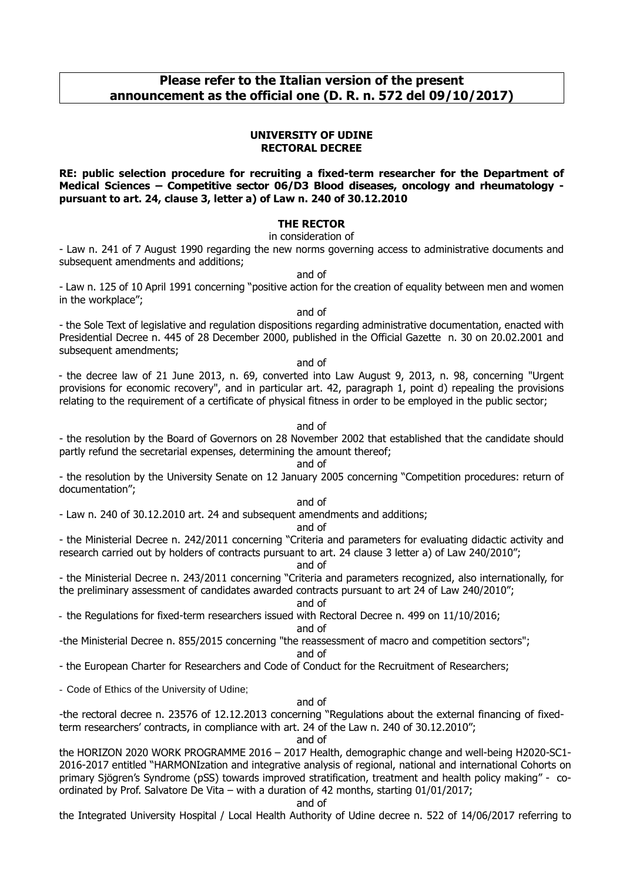# **Please refer to the Italian version of the present announcement as the official one (D. R. n. 572 del 09/10/2017)**

#### **UNIVERSITY OF UDINE RECTORAL DECREE**

#### **RE: public selection procedure for recruiting a fixed-term researcher for the Department of Medical Sciences – Competitive sector 06/D3 Blood diseases, oncology and rheumatology pursuant to art. 24, clause 3, letter a) of Law n. 240 of 30.12.2010**

## **THE RECTOR**

#### in consideration of

- Law n. 241 of 7 August 1990 regarding the new norms governing access to administrative documents and subsequent amendments and additions;

and of

- Law n. 125 of 10 April 1991 concerning "positive action for the creation of equality between men and women in the workplace";

and of

- the Sole Text of legislative and regulation dispositions regarding administrative documentation, enacted with Presidential Decree n. 445 of 28 December 2000, published in the Official Gazette n. 30 on 20.02.2001 and subsequent amendments;

#### and of

- the decree law of 21 June 2013, n. 69, converted into Law August 9, 2013, n. 98, concerning "Urgent provisions for economic recovery", and in particular art. 42, paragraph 1, point d) repealing the provisions relating to the requirement of a certificate of physical fitness in order to be employed in the public sector;

#### and of

- the resolution by the Board of Governors on 28 November 2002 that established that the candidate should partly refund the secretarial expenses, determining the amount thereof;

and of

- the resolution by the University Senate on 12 January 2005 concerning "Competition procedures: return of documentation";

#### and of

- Law n. 240 of 30.12.2010 art. 24 and subsequent amendments and additions;

#### and of

- the Ministerial Decree n. 242/2011 concerning "Criteria and parameters for evaluating didactic activity and research carried out by holders of contracts pursuant to art. 24 clause 3 letter a) of Law 240/2010";

#### and of

- the Ministerial Decree n. 243/2011 concerning "Criteria and parameters recognized, also internationally, for the preliminary assessment of candidates awarded contracts pursuant to art 24 of Law 240/2010";

#### and of

- the Regulations for fixed-term researchers issued with Rectoral Decree n. 499 on 11/10/2016;

#### and of

-the Ministerial Decree n. 855/2015 concerning "the reassessment of macro and competition sectors";

and of

- the European Charter for Researchers and Code of Conduct for the Recruitment of Researchers;

- Code of Ethics of the University of Udine;

### and of

-the rectoral decree n. 23576 of 12.12.2013 concerning "Regulations about the external financing of fixedterm researchers' contracts, in compliance with art. 24 of the Law n. 240 of 30.12.2010";

and of

the HORIZON 2020 WORK PROGRAMME 2016 – 2017 Health, demographic change and well-being H2020-SC1- 2016-2017 entitled "HARMONIzation and integrative analysis of regional, national and international Cohorts on primary Sjögren's Syndrome (pSS) towards improved stratification, treatment and health policy making" - coordinated by Prof. Salvatore De Vita – with a duration of 42 months, starting 01/01/2017;

#### and of

the Integrated University Hospital / Local Health Authority of Udine decree n. 522 of 14/06/2017 referring to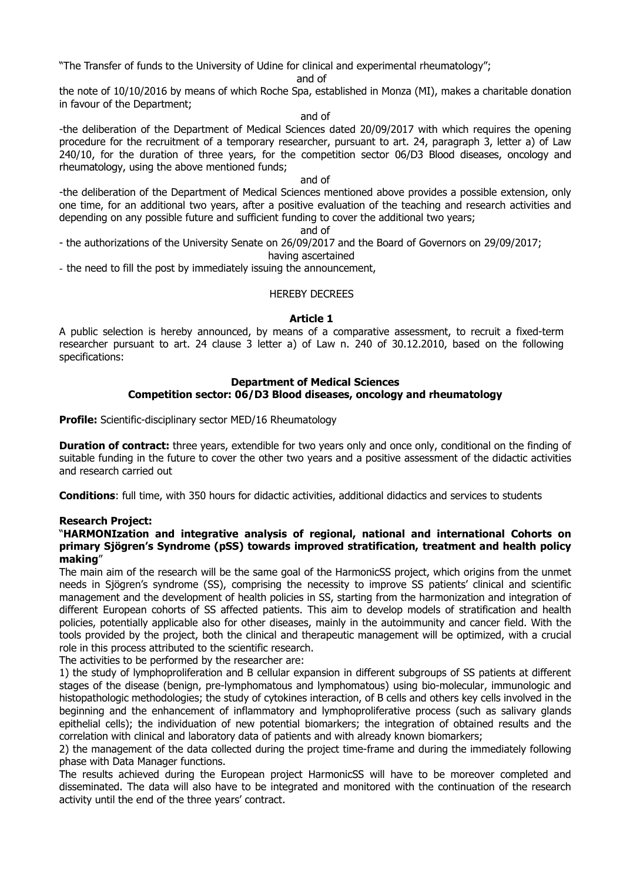"The Transfer of funds to the University of Udine for clinical and experimental rheumatology";

and of

the note of 10/10/2016 by means of which Roche Spa, established in Monza (MI), makes a charitable donation in favour of the Department;

and of

-the deliberation of the Department of Medical Sciences dated 20/09/2017 with which requires the opening procedure for the recruitment of a temporary researcher, pursuant to art. 24, paragraph 3, letter a) of Law 240/10, for the duration of three years, for the competition sector 06/D3 Blood diseases, oncology and rheumatology, using the above mentioned funds;

#### and of

-the deliberation of the Department of Medical Sciences mentioned above provides a possible extension, only one time, for an additional two years, after a positive evaluation of the teaching and research activities and depending on any possible future and sufficient funding to cover the additional two years;

and of

- the authorizations of the University Senate on 26/09/2017 and the Board of Governors on 29/09/2017;

having ascertained

- the need to fill the post by immediately issuing the announcement,

HEREBY DECREES

## **Article 1**

A public selection is hereby announced, by means of a comparative assessment, to recruit a fixed-term researcher pursuant to art. 24 clause 3 letter a) of Law n. 240 of 30.12.2010, based on the following specifications:

## **Department of Medical Sciences**

# **Competition sector: 06/D3 Blood diseases, oncology and rheumatology**

**Profile:** Scientific-disciplinary sector MED/16 Rheumatology

**Duration of contract:** three years, extendible for two years only and once only, conditional on the finding of suitable funding in the future to cover the other two years and a positive assessment of the didactic activities and research carried out

**Conditions**: full time, with 350 hours for didactic activities, additional didactics and services to students

## **Research Project:**

### "**HARMONIzation and integrative analysis of regional, national and international Cohorts on primary Sjögren's Syndrome (pSS) towards improved stratification, treatment and health policy making**"

The main aim of the research will be the same goal of the HarmonicSS project, which origins from the unmet needs in Sjögren's syndrome (SS), comprising the necessity to improve SS patients' clinical and scientific management and the development of health policies in SS, starting from the harmonization and integration of different European cohorts of SS affected patients. This aim to develop models of stratification and health policies, potentially applicable also for other diseases, mainly in the autoimmunity and cancer field. With the tools provided by the project, both the clinical and therapeutic management will be optimized, with a crucial role in this process attributed to the scientific research.

The activities to be performed by the researcher are:

1) the study of lymphoproliferation and B cellular expansion in different subgroups of SS patients at different stages of the disease (benign, pre-lymphomatous and lymphomatous) using bio-molecular, immunologic and histopathologic methodologies; the study of cytokines interaction, of B cells and others key cells involved in the beginning and the enhancement of inflammatory and lymphoproliferative process (such as salivary glands epithelial cells); the individuation of new potential biomarkers; the integration of obtained results and the correlation with clinical and laboratory data of patients and with already known biomarkers;

2) the management of the data collected during the project time-frame and during the immediately following phase with Data Manager functions.

The results achieved during the European project HarmonicSS will have to be moreover completed and disseminated. The data will also have to be integrated and monitored with the continuation of the research activity until the end of the three years' contract.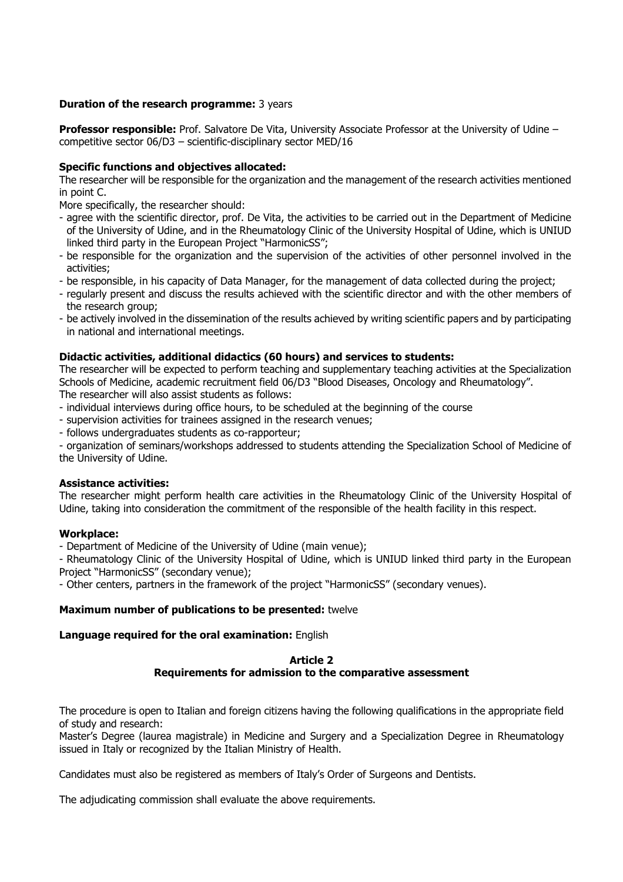## **Duration of the research programme:** 3 years

**Professor responsible:** Prof. Salvatore De Vita, University Associate Professor at the University of Udine – competitive sector 06/D3 – scientific-disciplinary sector MED/16

## **Specific functions and objectives allocated:**

The researcher will be responsible for the organization and the management of the research activities mentioned in point C.

More specifically, the researcher should:

- agree with the scientific director, prof. De Vita, the activities to be carried out in the Department of Medicine of the University of Udine, and in the Rheumatology Clinic of the University Hospital of Udine, which is UNIUD linked third party in the European Project "HarmonicSS";
- be responsible for the organization and the supervision of the activities of other personnel involved in the activities;
- be responsible, in his capacity of Data Manager, for the management of data collected during the project;
- regularly present and discuss the results achieved with the scientific director and with the other members of the research group;
- be actively involved in the dissemination of the results achieved by writing scientific papers and by participating in national and international meetings.

### **Didactic activities, additional didactics (60 hours) and services to students:**

The researcher will be expected to perform teaching and supplementary teaching activities at the Specialization Schools of Medicine, academic recruitment field 06/D3 "Blood Diseases, Oncology and Rheumatology". The researcher will also assist students as follows:

- individual interviews during office hours, to be scheduled at the beginning of the course
- supervision activities for trainees assigned in the research venues;
- follows undergraduates students as co-rapporteur;

- organization of seminars/workshops addressed to students attending the Specialization School of Medicine of the University of Udine.

### **Assistance activities:**

The researcher might perform health care activities in the Rheumatology Clinic of the University Hospital of Udine, taking into consideration the commitment of the responsible of the health facility in this respect.

### **Workplace:**

- Department of Medicine of the University of Udine (main venue);

- Rheumatology Clinic of the University Hospital of Udine, which is UNIUD linked third party in the European Project "HarmonicSS" (secondary venue);

- Other centers, partners in the framework of the project "HarmonicSS" (secondary venues).

### **Maximum number of publications to be presented:** twelve

### **Language required for the oral examination:** English

### **Article 2 Requirements for admission to the comparative assessment**

The procedure is open to Italian and foreign citizens having the following qualifications in the appropriate field of study and research:

Master's Degree (laurea magistrale) in Medicine and Surgery and a Specialization Degree in Rheumatology issued in Italy or recognized by the Italian Ministry of Health.

Candidates must also be registered as members of Italy's Order of Surgeons and Dentists.

The adjudicating commission shall evaluate the above requirements.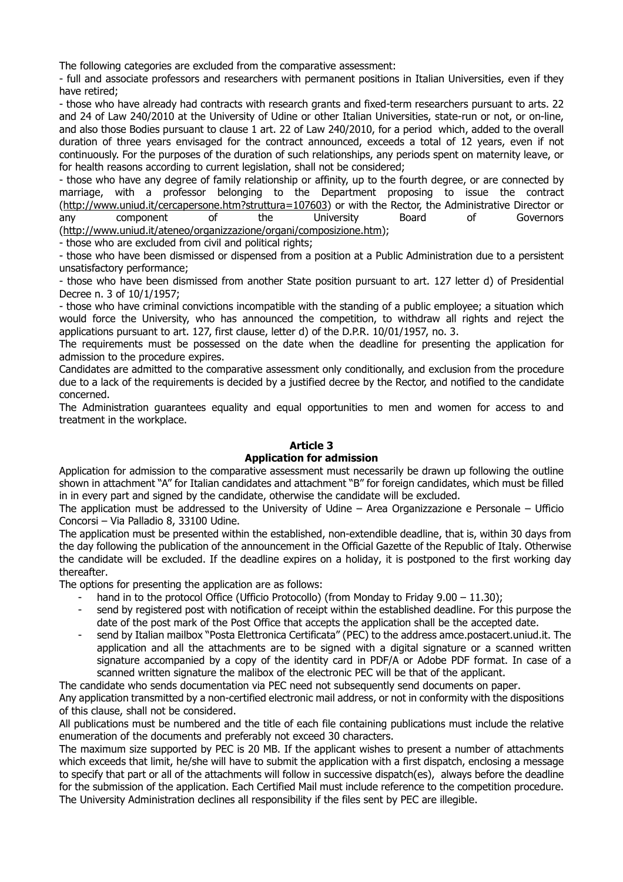The following categories are excluded from the comparative assessment:

- full and associate professors and researchers with permanent positions in Italian Universities, even if they have retired;

- those who have already had contracts with research grants and fixed-term researchers pursuant to arts. 22 and 24 of Law 240/2010 at the University of Udine or other Italian Universities, state-run or not, or on-line, and also those Bodies pursuant to clause 1 art. 22 of Law 240/2010, for a period which, added to the overall duration of three years envisaged for the contract announced, exceeds a total of 12 years, even if not continuously. For the purposes of the duration of such relationships, any periods spent on maternity leave, or for health reasons according to current legislation, shall not be considered;

- those who have any degree of family relationship or affinity, up to the fourth degree, or are connected by marriage, with a professor belonging to the Department proposing to issue the contract (http://www.uniud.it/cercapersone.htm?struttura=107603) or with the Rector, the Administrative Director or any component of the University Board of Governors (http://www.uniud.it/ateneo/organizzazione/organi/composizione.htm);

- those who are excluded from civil and political rights;

- those who have been dismissed or dispensed from a position at a Public Administration due to a persistent unsatisfactory performance;

- those who have been dismissed from another State position pursuant to art. 127 letter d) of Presidential Decree n. 3 of 10/1/1957;

- those who have criminal convictions incompatible with the standing of a public employee; a situation which would force the University, who has announced the competition, to withdraw all rights and reject the applications pursuant to art. 127, first clause, letter d) of the D.P.R. 10/01/1957, no. 3.

The requirements must be possessed on the date when the deadline for presenting the application for admission to the procedure expires.

Candidates are admitted to the comparative assessment only conditionally, and exclusion from the procedure due to a lack of the requirements is decided by a justified decree by the Rector, and notified to the candidate concerned.

The Administration guarantees equality and equal opportunities to men and women for access to and treatment in the workplace.

## **Article 3**

### **Application for admission**

Application for admission to the comparative assessment must necessarily be drawn up following the outline shown in attachment "A" for Italian candidates and attachment "B" for foreign candidates, which must be filled in in every part and signed by the candidate, otherwise the candidate will be excluded.

The application must be addressed to the University of Udine – Area Organizzazione e Personale – Ufficio Concorsi – Via Palladio 8, 33100 Udine.

The application must be presented within the established, non-extendible deadline, that is, within 30 days from the day following the publication of the announcement in the Official Gazette of the Republic of Italy. Otherwise the candidate will be excluded. If the deadline expires on a holiday, it is postponed to the first working day thereafter.

The options for presenting the application are as follows:

- hand in to the protocol Office (Ufficio Protocollo) (from Monday to Friday 9.00 11.30);
- send by registered post with notification of receipt within the established deadline. For this purpose the date of the post mark of the Post Office that accepts the application shall be the accepted date.
- send by Italian mailbox "Posta Elettronica Certificata" (PEC) to the address amce.postacert.uniud.it. The application and all the attachments are to be signed with a digital signature or a scanned written signature accompanied by a copy of the identity card in PDF/A or Adobe PDF format. In case of a scanned written signature the malibox of the electronic PEC will be that of the applicant.

The candidate who sends documentation via PEC need not subsequently send documents on paper.

Any application transmitted by a non-certified electronic mail address, or not in conformity with the dispositions of this clause, shall not be considered.

All publications must be numbered and the title of each file containing publications must include the relative enumeration of the documents and preferably not exceed 30 characters.

The maximum size supported by PEC is 20 MB. If the applicant wishes to present a number of attachments which exceeds that limit, he/she will have to submit the application with a first dispatch, enclosing a message to specify that part or all of the attachments will follow in successive dispatch(es), always before the deadline for the submission of the application. Each Certified Mail must include reference to the competition procedure. The University Administration declines all responsibility if the files sent by PEC are illegible.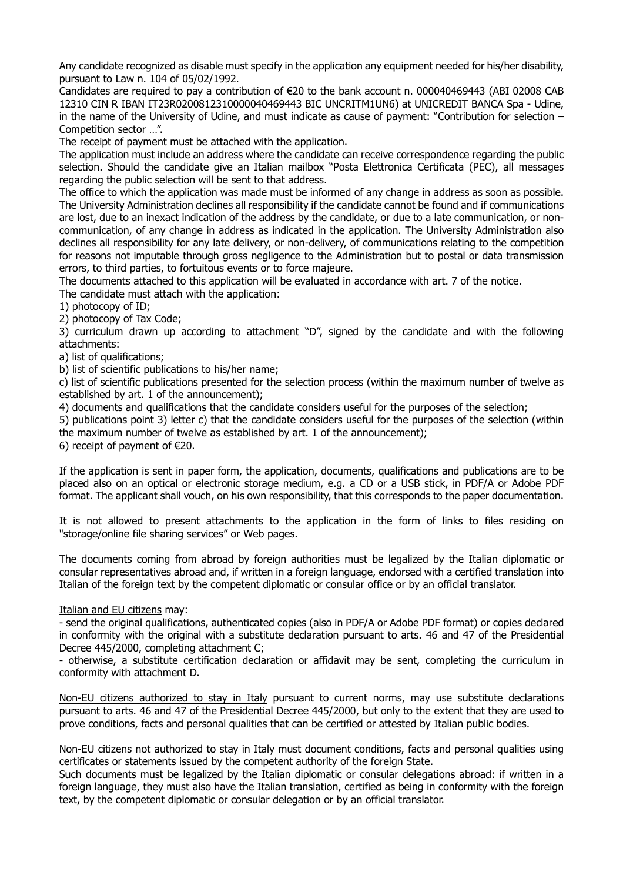Any candidate recognized as disable must specify in the application any equipment needed for his/her disability, pursuant to Law n. 104 of 05/02/1992.

Candidates are required to pay a contribution of €20 to the bank account n. 000040469443 (ABI 02008 CAB 12310 CIN R IBAN IT23R0200812310000040469443 BIC UNCRITM1UN6) at UNICREDIT BANCA Spa - Udine, in the name of the University of Udine, and must indicate as cause of payment: "Contribution for selection – Competition sector …".

The receipt of payment must be attached with the application.

The application must include an address where the candidate can receive correspondence regarding the public selection. Should the candidate give an Italian mailbox "Posta Elettronica Certificata (PEC), all messages regarding the public selection will be sent to that address.

The office to which the application was made must be informed of any change in address as soon as possible. The University Administration declines all responsibility if the candidate cannot be found and if communications are lost, due to an inexact indication of the address by the candidate, or due to a late communication, or noncommunication, of any change in address as indicated in the application. The University Administration also declines all responsibility for any late delivery, or non-delivery, of communications relating to the competition for reasons not imputable through gross negligence to the Administration but to postal or data transmission errors, to third parties, to fortuitous events or to force majeure.

The documents attached to this application will be evaluated in accordance with art. 7 of the notice.

The candidate must attach with the application:

1) photocopy of ID;

2) photocopy of Tax Code;

3) curriculum drawn up according to attachment "D", signed by the candidate and with the following attachments:

a) list of qualifications;

b) list of scientific publications to his/her name;

c) list of scientific publications presented for the selection process (within the maximum number of twelve as established by art. 1 of the announcement);

4) documents and qualifications that the candidate considers useful for the purposes of the selection;

5) publications point 3) letter c) that the candidate considers useful for the purposes of the selection (within the maximum number of twelve as established by art. 1 of the announcement);

6) receipt of payment of  $\epsilon$ 20.

If the application is sent in paper form, the application, documents, qualifications and publications are to be placed also on an optical or electronic storage medium, e.g. a CD or a USB stick, in PDF/A or Adobe PDF format. The applicant shall vouch, on his own responsibility, that this corresponds to the paper documentation.

It is not allowed to present attachments to the application in the form of links to files residing on "storage/online file sharing services" or Web pages.

The documents coming from abroad by foreign authorities must be legalized by the Italian diplomatic or consular representatives abroad and, if written in a foreign language, endorsed with a certified translation into Italian of the foreign text by the competent diplomatic or consular office or by an official translator.

Italian and EU citizens may:

- send the original qualifications, authenticated copies (also in PDF/A or Adobe PDF format) or copies declared in conformity with the original with a substitute declaration pursuant to arts. 46 and 47 of the Presidential Decree 445/2000, completing attachment C;

- otherwise, a substitute certification declaration or affidavit may be sent, completing the curriculum in conformity with attachment D.

Non-EU citizens authorized to stay in Italy pursuant to current norms, may use substitute declarations pursuant to arts. 46 and 47 of the Presidential Decree 445/2000, but only to the extent that they are used to prove conditions, facts and personal qualities that can be certified or attested by Italian public bodies.

Non-EU citizens not authorized to stay in Italy must document conditions, facts and personal qualities using certificates or statements issued by the competent authority of the foreign State.

Such documents must be legalized by the Italian diplomatic or consular delegations abroad: if written in a foreign language, they must also have the Italian translation, certified as being in conformity with the foreign text, by the competent diplomatic or consular delegation or by an official translator.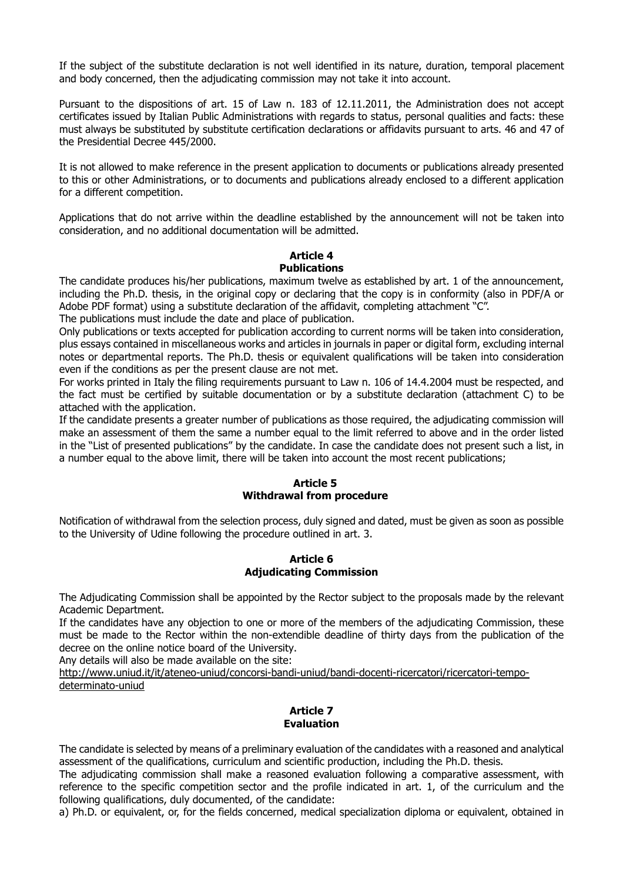If the subject of the substitute declaration is not well identified in its nature, duration, temporal placement and body concerned, then the adjudicating commission may not take it into account.

Pursuant to the dispositions of art. 15 of Law n. 183 of 12.11.2011, the Administration does not accept certificates issued by Italian Public Administrations with regards to status, personal qualities and facts: these must always be substituted by substitute certification declarations or affidavits pursuant to arts. 46 and 47 of the Presidential Decree 445/2000.

It is not allowed to make reference in the present application to documents or publications already presented to this or other Administrations, or to documents and publications already enclosed to a different application for a different competition.

Applications that do not arrive within the deadline established by the announcement will not be taken into consideration, and no additional documentation will be admitted.

#### **Article 4 Publications**

The candidate produces his/her publications, maximum twelve as established by art. 1 of the announcement, including the Ph.D. thesis, in the original copy or declaring that the copy is in conformity (also in PDF/A or Adobe PDF format) using a substitute declaration of the affidavit, completing attachment "C".

The publications must include the date and place of publication.

Only publications or texts accepted for publication according to current norms will be taken into consideration, plus essays contained in miscellaneous works and articles in journals in paper or digital form, excluding internal notes or departmental reports. The Ph.D. thesis or equivalent qualifications will be taken into consideration even if the conditions as per the present clause are not met.

For works printed in Italy the filing requirements pursuant to Law n. 106 of 14.4.2004 must be respected, and the fact must be certified by suitable documentation or by a substitute declaration (attachment C) to be attached with the application.

If the candidate presents a greater number of publications as those required, the adjudicating commission will make an assessment of them the same a number equal to the limit referred to above and in the order listed in the "List of presented publications" by the candidate. In case the candidate does not present such a list, in a number equal to the above limit, there will be taken into account the most recent publications;

## **Article 5 Withdrawal from procedure**

Notification of withdrawal from the selection process, duly signed and dated, must be given as soon as possible to the University of Udine following the procedure outlined in art. 3.

### **Article 6 Adjudicating Commission**

The Adjudicating Commission shall be appointed by the Rector subject to the proposals made by the relevant Academic Department.

If the candidates have any objection to one or more of the members of the adjudicating Commission, these must be made to the Rector within the non-extendible deadline of thirty days from the publication of the decree on the online notice board of the University.

Any details will also be made available on the site:

http://www.uniud.it/it/ateneo-uniud/concorsi-bandi-uniud/bandi-docenti-ricercatori/ricercatori-tempodeterminato-uniud

## **Article 7 Evaluation**

The candidate is selected by means of a preliminary evaluation of the candidates with a reasoned and analytical assessment of the qualifications, curriculum and scientific production, including the Ph.D. thesis.

The adjudicating commission shall make a reasoned evaluation following a comparative assessment, with reference to the specific competition sector and the profile indicated in art. 1, of the curriculum and the following qualifications, duly documented, of the candidate:

a) Ph.D. or equivalent, or, for the fields concerned, medical specialization diploma or equivalent, obtained in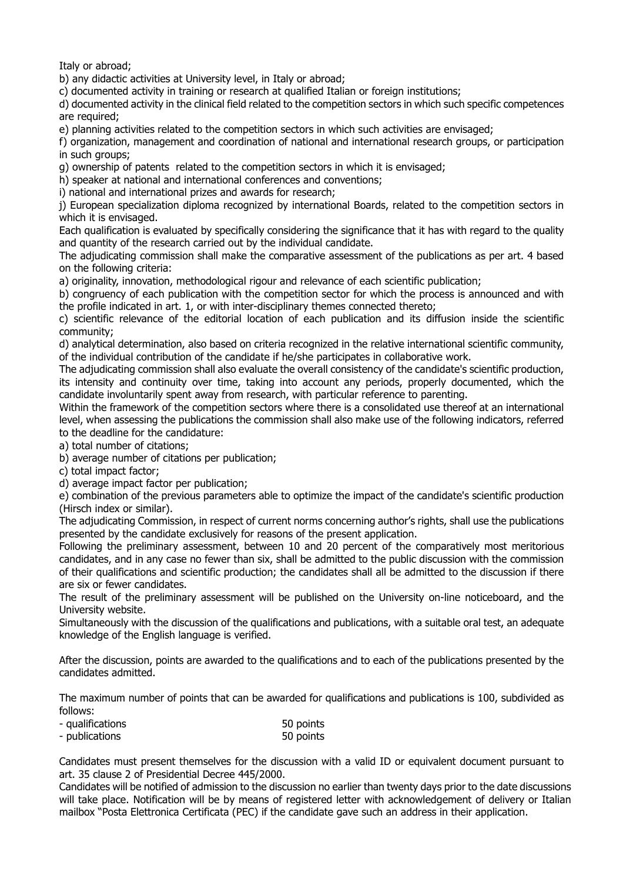Italy or abroad;

b) any didactic activities at University level, in Italy or abroad;

c) documented activity in training or research at qualified Italian or foreign institutions;

d) documented activity in the clinical field related to the competition sectors in which such specific competences are required;

e) planning activities related to the competition sectors in which such activities are envisaged;

f) organization, management and coordination of national and international research groups, or participation in such groups;

g) ownership of patents related to the competition sectors in which it is envisaged;

h) speaker at national and international conferences and conventions;

i) national and international prizes and awards for research;

j) European specialization diploma recognized by international Boards, related to the competition sectors in which it is envisaged.

Each qualification is evaluated by specifically considering the significance that it has with regard to the quality and quantity of the research carried out by the individual candidate.

The adjudicating commission shall make the comparative assessment of the publications as per art. 4 based on the following criteria:

a) originality, innovation, methodological rigour and relevance of each scientific publication;

b) congruency of each publication with the competition sector for which the process is announced and with the profile indicated in art. 1, or with inter-disciplinary themes connected thereto;

c) scientific relevance of the editorial location of each publication and its diffusion inside the scientific community;

d) analytical determination, also based on criteria recognized in the relative international scientific community, of the individual contribution of the candidate if he/she participates in collaborative work.

The adjudicating commission shall also evaluate the overall consistency of the candidate's scientific production, its intensity and continuity over time, taking into account any periods, properly documented, which the candidate involuntarily spent away from research, with particular reference to parenting.

Within the framework of the competition sectors where there is a consolidated use thereof at an international level, when assessing the publications the commission shall also make use of the following indicators, referred to the deadline for the candidature:

a) total number of citations;

b) average number of citations per publication;

c) total impact factor;

d) average impact factor per publication;

e) combination of the previous parameters able to optimize the impact of the candidate's scientific production (Hirsch index or similar).

The adjudicating Commission, in respect of current norms concerning author's rights, shall use the publications presented by the candidate exclusively for reasons of the present application.

Following the preliminary assessment, between 10 and 20 percent of the comparatively most meritorious candidates, and in any case no fewer than six, shall be admitted to the public discussion with the commission of their qualifications and scientific production; the candidates shall all be admitted to the discussion if there are six or fewer candidates.

The result of the preliminary assessment will be published on the University on-line noticeboard, and the University website.

Simultaneously with the discussion of the qualifications and publications, with a suitable oral test, an adequate knowledge of the English language is verified.

After the discussion, points are awarded to the qualifications and to each of the publications presented by the candidates admitted.

The maximum number of points that can be awarded for qualifications and publications is 100, subdivided as follows:

| - qualifications | 50 points |
|------------------|-----------|
| - publications   | 50 points |

Candidates must present themselves for the discussion with a valid ID or equivalent document pursuant to art. 35 clause 2 of Presidential Decree 445/2000.

Candidates will be notified of admission to the discussion no earlier than twenty days prior to the date discussions will take place. Notification will be by means of registered letter with acknowledgement of delivery or Italian mailbox "Posta Elettronica Certificata (PEC) if the candidate gave such an address in their application.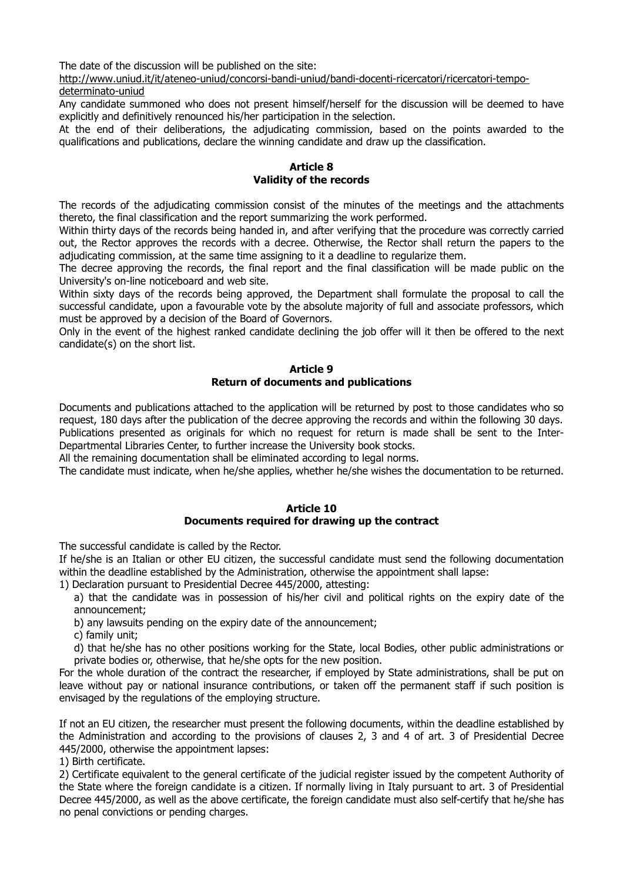The date of the discussion will be published on the site:

http://www.uniud.it/it/ateneo-uniud/concorsi-bandi-uniud/bandi-docenti-ricercatori/ricercatori-tempo-

determinato-uniud

Any candidate summoned who does not present himself/herself for the discussion will be deemed to have explicitly and definitively renounced his/her participation in the selection.

At the end of their deliberations, the adjudicating commission, based on the points awarded to the qualifications and publications, declare the winning candidate and draw up the classification.

## **Article 8 Validity of the records**

The records of the adjudicating commission consist of the minutes of the meetings and the attachments thereto, the final classification and the report summarizing the work performed.

Within thirty days of the records being handed in, and after verifying that the procedure was correctly carried out, the Rector approves the records with a decree. Otherwise, the Rector shall return the papers to the adjudicating commission, at the same time assigning to it a deadline to regularize them.

The decree approving the records, the final report and the final classification will be made public on the University's on-line noticeboard and web site.

Within sixty days of the records being approved, the Department shall formulate the proposal to call the successful candidate, upon a favourable vote by the absolute majority of full and associate professors, which must be approved by a decision of the Board of Governors.

Only in the event of the highest ranked candidate declining the job offer will it then be offered to the next candidate(s) on the short list.

## **Article 9 Return of documents and publications**

Documents and publications attached to the application will be returned by post to those candidates who so request, 180 days after the publication of the decree approving the records and within the following 30 days. Publications presented as originals for which no request for return is made shall be sent to the Inter-Departmental Libraries Center, to further increase the University book stocks.

All the remaining documentation shall be eliminated according to legal norms.

The candidate must indicate, when he/she applies, whether he/she wishes the documentation to be returned.

### **Article 10**

### **Documents required for drawing up the contract**

The successful candidate is called by the Rector.

If he/she is an Italian or other EU citizen, the successful candidate must send the following documentation within the deadline established by the Administration, otherwise the appointment shall lapse:

1) Declaration pursuant to Presidential Decree 445/2000, attesting:

a) that the candidate was in possession of his/her civil and political rights on the expiry date of the announcement;

b) any lawsuits pending on the expiry date of the announcement;

c) family unit;

d) that he/she has no other positions working for the State, local Bodies, other public administrations or private bodies or, otherwise, that he/she opts for the new position.

For the whole duration of the contract the researcher, if employed by State administrations, shall be put on leave without pay or national insurance contributions, or taken off the permanent staff if such position is envisaged by the regulations of the employing structure.

If not an EU citizen, the researcher must present the following documents, within the deadline established by the Administration and according to the provisions of clauses 2, 3 and 4 of art. 3 of Presidential Decree 445/2000, otherwise the appointment lapses:

1) Birth certificate.

2) Certificate equivalent to the general certificate of the judicial register issued by the competent Authority of the State where the foreign candidate is a citizen. If normally living in Italy pursuant to art. 3 of Presidential Decree 445/2000, as well as the above certificate, the foreign candidate must also self-certify that he/she has no penal convictions or pending charges.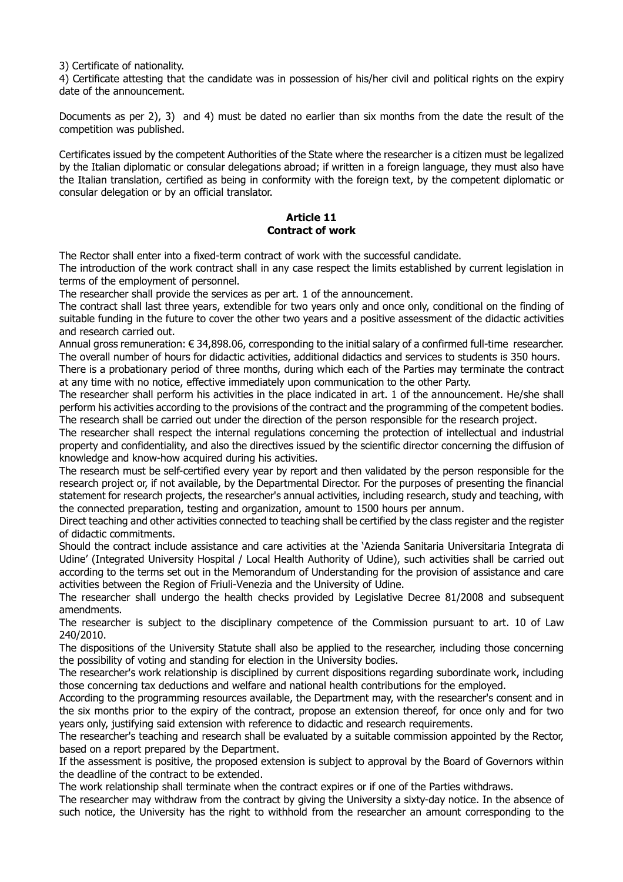3) Certificate of nationality.

4) Certificate attesting that the candidate was in possession of his/her civil and political rights on the expiry date of the announcement.

Documents as per 2), 3) and 4) must be dated no earlier than six months from the date the result of the competition was published.

Certificates issued by the competent Authorities of the State where the researcher is a citizen must be legalized by the Italian diplomatic or consular delegations abroad; if written in a foreign language, they must also have the Italian translation, certified as being in conformity with the foreign text, by the competent diplomatic or consular delegation or by an official translator.

#### **Article 11 Contract of work**

The Rector shall enter into a fixed-term contract of work with the successful candidate.

The introduction of the work contract shall in any case respect the limits established by current legislation in terms of the employment of personnel.

The researcher shall provide the services as per art. 1 of the announcement.

The contract shall last three years, extendible for two years only and once only, conditional on the finding of suitable funding in the future to cover the other two years and a positive assessment of the didactic activities and research carried out.

Annual gross remuneration: € 34,898.06, corresponding to the initial salary of a confirmed full-time researcher. The overall number of hours for didactic activities, additional didactics and services to students is 350 hours.

There is a probationary period of three months, during which each of the Parties may terminate the contract at any time with no notice, effective immediately upon communication to the other Party.

The researcher shall perform his activities in the place indicated in art. 1 of the announcement. He/she shall perform his activities according to the provisions of the contract and the programming of the competent bodies. The research shall be carried out under the direction of the person responsible for the research project.

The researcher shall respect the internal regulations concerning the protection of intellectual and industrial property and confidentiality, and also the directives issued by the scientific director concerning the diffusion of knowledge and know-how acquired during his activities.

The research must be self-certified every year by report and then validated by the person responsible for the research project or, if not available, by the Departmental Director. For the purposes of presenting the financial statement for research projects, the researcher's annual activities, including research, study and teaching, with the connected preparation, testing and organization, amount to 1500 hours per annum.

Direct teaching and other activities connected to teaching shall be certified by the class register and the register of didactic commitments.

Should the contract include assistance and care activities at the 'Azienda Sanitaria Universitaria Integrata di Udine' (Integrated University Hospital / Local Health Authority of Udine), such activities shall be carried out according to the terms set out in the Memorandum of Understanding for the provision of assistance and care activities between the Region of Friuli-Venezia and the University of Udine.

The researcher shall undergo the health checks provided by Legislative Decree 81/2008 and subsequent amendments.

The researcher is subject to the disciplinary competence of the Commission pursuant to art. 10 of Law 240/2010.

The dispositions of the University Statute shall also be applied to the researcher, including those concerning the possibility of voting and standing for election in the University bodies.

The researcher's work relationship is disciplined by current dispositions regarding subordinate work, including those concerning tax deductions and welfare and national health contributions for the employed.

According to the programming resources available, the Department may, with the researcher's consent and in the six months prior to the expiry of the contract, propose an extension thereof, for once only and for two years only, justifying said extension with reference to didactic and research requirements.

The researcher's teaching and research shall be evaluated by a suitable commission appointed by the Rector, based on a report prepared by the Department.

If the assessment is positive, the proposed extension is subject to approval by the Board of Governors within the deadline of the contract to be extended.

The work relationship shall terminate when the contract expires or if one of the Parties withdraws.

The researcher may withdraw from the contract by giving the University a sixty-day notice. In the absence of such notice, the University has the right to withhold from the researcher an amount corresponding to the